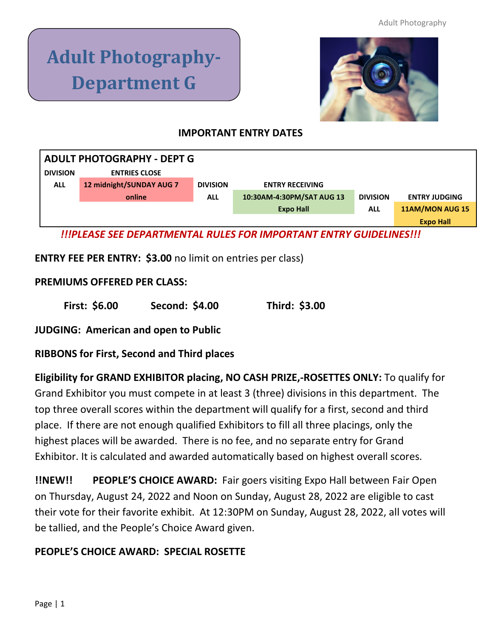# **Adult Photography-Department G**



## **IMPORTANT ENTRY DATES**

| <b>ADULT PHOTOGRAPHY - DEPT G</b>                                        |                          |                 |                           |                 |                        |
|--------------------------------------------------------------------------|--------------------------|-----------------|---------------------------|-----------------|------------------------|
| <b>DIVISION</b>                                                          | <b>ENTRIES CLOSE</b>     |                 |                           |                 |                        |
| <b>ALL</b>                                                               | 12 midnight/SUNDAY AUG 7 | <b>DIVISION</b> | <b>ENTRY RECEIVING</b>    |                 |                        |
|                                                                          | online                   | <b>ALL</b>      | 10:30AM-4:30PM/SAT AUG 13 | <b>DIVISION</b> | <b>ENTRY JUDGING</b>   |
|                                                                          |                          |                 | <b>Expo Hall</b>          | <b>ALL</b>      | <b>11AM/MON AUG 15</b> |
|                                                                          |                          |                 |                           |                 | <b>Expo Hall</b>       |
| <u>UIPLEASE SEE DEPARTMENTAL RULES FOR IMPORTANT ENTRY GUIDELINESIII</u> |                          |                 |                           |                 |                        |

**ENTRY FEE PER ENTRY: \$3.00** no limit on entries per class)

## **PREMIUMS OFFERED PER CLASS:**

**First: \$6.00 Second: \$4.00 Third: \$3.00**

**JUDGING: American and open to Public**

**RIBBONS for First, Second and Third places**

**Eligibility for GRAND EXHIBITOR placing, NO CASH PRIZE,-ROSETTES ONLY:** To qualify for Grand Exhibitor you must compete in at least 3 (three) divisions in this department. The top three overall scores within the department will qualify for a first, second and third place. If there are not enough qualified Exhibitors to fill all three placings, only the highest places will be awarded. There is no fee, and no separate entry for Grand Exhibitor. It is calculated and awarded automatically based on highest overall scores.

**!!NEW!! PEOPLE'S CHOICE AWARD:** Fair goers visiting Expo Hall between Fair Open on Thursday, August 24, 2022 and Noon on Sunday, August 28, 2022 are eligible to cast their vote for their favorite exhibit. At 12:30PM on Sunday, August 28, 2022, all votes will be tallied, and the People's Choice Award given.

## **PEOPLE'S CHOICE AWARD: SPECIAL ROSETTE**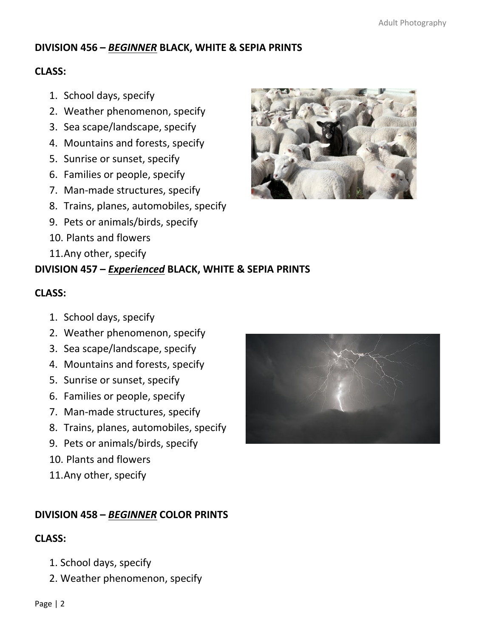## **DIVISION 456 –** *BEGINNER* **BLACK, WHITE & SEPIA PRINTS**

#### **CLASS:**

- 1. School days, specify
- 2. Weather phenomenon, specify
- 3. Sea scape/landscape, specify
- 4. Mountains and forests, specify
- 5. Sunrise or sunset, specify
- 6. Families or people, specify
- 7. Man-made structures, specify
- 8. Trains, planes, automobiles, specify
- 9. Pets or animals/birds, specify
- 10. Plants and flowers
- 11.Any other, specify

# **DIVISION 457 –** *Experienced* **BLACK, WHITE & SEPIA PRINTS**

#### **CLASS:**

- 1. School days, specify
- 2. Weather phenomenon, specify
- 3. Sea scape/landscape, specify
- 4. Mountains and forests, specify
- 5. Sunrise or sunset, specify
- 6. Families or people, specify
- 7. Man-made structures, specify
- 8. Trains, planes, automobiles, specify
- 9. Pets or animals/birds, specify
- 10. Plants and flowers
- 11.Any other, specify

## **DIVISION 458 –** *BEGINNER* **COLOR PRINTS**

## **CLASS:**

- 1. School days, specify
- 2. Weather phenomenon, specify



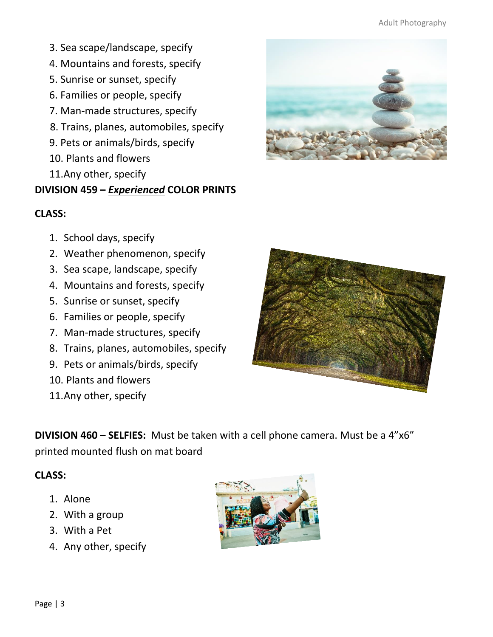#### Adult Photography

- 3. Sea scape/landscape, specify
- 4. Mountains and forests, specify
- 5. Sunrise or sunset, specify
- 6. Families or people, specify
- 7. Man-made structures, specify
- 8. Trains, planes, automobiles, specify
- 9. Pets or animals/birds, specify
- 10. Plants and flowers
- 11.Any other, specify

# **DIVISION 459 –** *Experienced* **COLOR PRINTS**

# **CLASS:**

- 1. School days, specify
- 2. Weather phenomenon, specify
- 3. Sea scape, landscape, specify
- 4. Mountains and forests, specify
- 5. Sunrise or sunset, specify
- 6. Families or people, specify
- 7. Man-made structures, specify
- 8. Trains, planes, automobiles, specify
- 9. Pets or animals/birds, specify
- 10. Plants and flowers
- 11.Any other, specify



**DIVISION 460 – SELFIES:** Must be taken with a cell phone camera. Must be a 4"x6" printed mounted flush on mat board

## **CLASS:**

- 1. Alone
- 2. With a group
- 3. With a Pet
- 4. Any other, specify